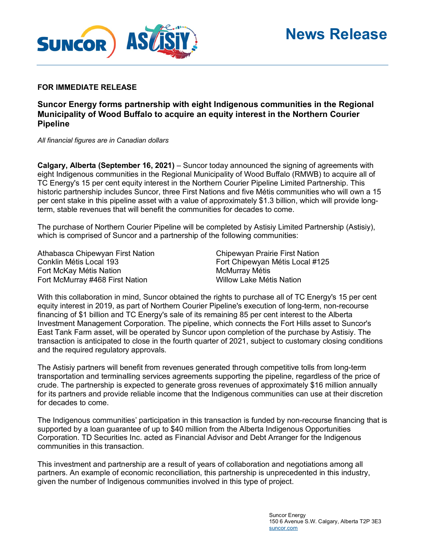

#### **FOR IMMEDIATE RELEASE**

# **Suncor Energy forms partnership with eight Indigenous communities in the Regional Municipality of Wood Buffalo to acquire an equity interest in the Northern Courier Pipeline**

*All financial figures are in Canadian dollars*

**Calgary, Alberta (September 16, 2021)** – Suncor today announced the signing of agreements with eight Indigenous communities in the Regional Municipality of Wood Buffalo (RMWB) to acquire all of TC Energy's 15 per cent equity interest in the Northern Courier Pipeline Limited Partnership. This historic partnership includes Suncor, three First Nations and five Métis communities who will own a 15 per cent stake in this pipeline asset with a value of approximately \$1.3 billion, which will provide longterm, stable revenues that will benefit the communities for decades to come.

The purchase of Northern Courier Pipeline will be completed by Astisiy Limited Partnership (Astisiy), which is comprised of Suncor and a partnership of the following communities:

Athabasca Chipewyan First Nation Chipewyan Prairie First Nation Conklin Métis Local 193 Fort Chipewyan Métis Local #125 Fort McKay Métis Nation Methodian McMurray Métis Fort McMurray #468 First Nation The Millow Lake Métis Nation

With this collaboration in mind, Suncor obtained the rights to purchase all of TC Energy's 15 per cent equity interest in 2019, as part of Northern Courier Pipeline's execution of long-term, non-recourse financing of \$1 billion and TC Energy's sale of its remaining 85 per cent interest to the Alberta Investment Management Corporation. The pipeline, which connects the Fort Hills asset to Suncor's East Tank Farm asset, will be operated by Suncor upon completion of the purchase by Astisiy. The transaction is anticipated to close in the fourth quarter of 2021, subject to customary closing conditions and the required regulatory approvals.

The Astisiy partners will benefit from revenues generated through competitive tolls from long-term transportation and terminalling services agreements supporting the pipeline, regardless of the price of crude. The partnership is expected to generate gross revenues of approximately \$16 million annually for its partners and provide reliable income that the Indigenous communities can use at their discretion for decades to come.

The Indigenous communities' participation in this transaction is funded by non-recourse financing that is supported by a loan guarantee of up to \$40 million from the Alberta Indigenous Opportunities Corporation. TD Securities Inc. acted as Financial Advisor and Debt Arranger for the Indigenous communities in this transaction.

This investment and partnership are a result of years of collaboration and negotiations among all partners. An example of economic reconciliation, this partnership is unprecedented in this industry, given the number of Indigenous communities involved in this type of project.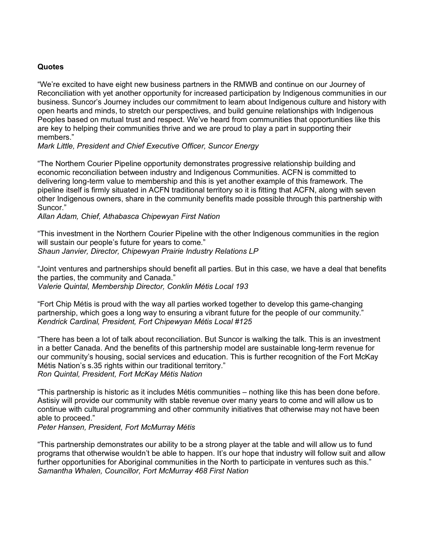### **Quotes**

"We're excited to have eight new business partners in the RMWB and continue on our Journey of Reconciliation with yet another opportunity for increased participation by Indigenous communities in our business. Suncor's Journey includes our commitment to learn about Indigenous culture and history with open hearts and minds, to stretch our perspectives, and build genuine relationships with Indigenous Peoples based on mutual trust and respect. We've heard from communities that opportunities like this are key to helping their communities thrive and we are proud to play a part in supporting their members."

#### *Mark Little, President and Chief Executive Officer, Suncor Energy*

"The Northern Courier Pipeline opportunity demonstrates progressive relationship building and economic reconciliation between industry and Indigenous Communities. ACFN is committed to delivering long-term value to membership and this is yet another example of this framework. The pipeline itself is firmly situated in ACFN traditional territory so it is fitting that ACFN, along with seven other Indigenous owners, share in the community benefits made possible through this partnership with Suncor."

*Allan Adam, Chief, Athabasca Chipewyan First Nation*

"This investment in the Northern Courier Pipeline with the other Indigenous communities in the region will sustain our people's future for years to come." *Shaun Janvier, Director, Chipewyan Prairie Industry Relations LP*

"Joint ventures and partnerships should benefit all parties. But in this case, we have a deal that benefits the parties, the community and Canada." *Valerie Quintal, Membership Director, Conklin Métis Local 193*

"Fort Chip Métis is proud with the way all parties worked together to develop this game-changing partnership, which goes a long way to ensuring a vibrant future for the people of our community." *Kendrick Cardinal, President, Fort Chipewyan Métis Local #125*

"There has been a lot of talk about reconciliation. But Suncor is walking the talk. This is an investment in a better Canada. And the benefits of this partnership model are sustainable long-term revenue for our community's housing, social services and education. This is further recognition of the Fort McKay Métis Nation's s.35 rights within our traditional territory." *Ron Quintal, President, Fort McKay Métis Nation*

"This partnership is historic as it includes Métis communities – nothing like this has been done before. Astisiy will provide our community with stable revenue over many years to come and will allow us to continue with cultural programming and other community initiatives that otherwise may not have been able to proceed."

*Peter Hansen, President, Fort McMurray Métis*

"This partnership demonstrates our ability to be a strong player at the table and will allow us to fund programs that otherwise wouldn't be able to happen. It's our hope that industry will follow suit and allow further opportunities for Aboriginal communities in the North to participate in ventures such as this." *Samantha Whalen, Councillor, Fort McMurray 468 First Nation*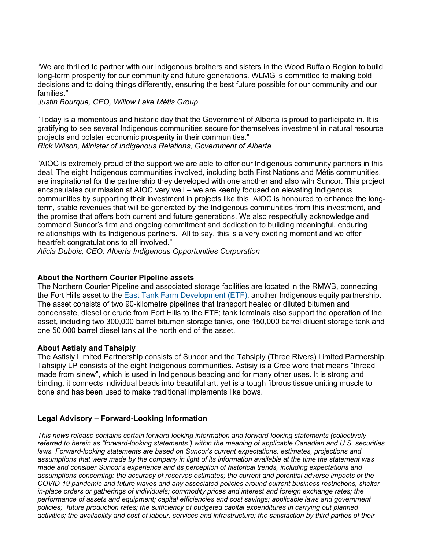"We are thrilled to partner with our Indigenous brothers and sisters in the Wood Buffalo Region to build long-term prosperity for our community and future generations. WLMG is committed to making bold decisions and to doing things differently, ensuring the best future possible for our community and our families."

*Justin Bourque, CEO, Willow Lake Métis Group* 

"Today is a momentous and historic day that the Government of Alberta is proud to participate in. It is gratifying to see several Indigenous communities secure for themselves investment in natural resource projects and bolster economic prosperity in their communities." *Rick Wilson, Minister of Indigenous Relations, Government of Alberta*

"AIOC is extremely proud of the support we are able to offer our Indigenous community partners in this deal. The eight Indigenous communities involved, including both First Nations and Métis communities, are inspirational for the partnership they developed with one another and also with Suncor. This project encapsulates our mission at AIOC very well – we are keenly focused on elevating Indigenous communities by supporting their investment in projects like this. AIOC is honoured to enhance the longterm, stable revenues that will be generated by the Indigenous communities from this investment, and the promise that offers both current and future generations. We also respectfully acknowledge and commend Suncor's firm and ongoing commitment and dedication to building meaningful, enduring relationships with its Indigenous partners. All to say, this is a very exciting moment and we offer heartfelt congratulations to all involved."

*Alicia Dubois, CEO, Alberta Indigenous Opportunities Corporation*

### **About the Northern Courier Pipeline assets**

The Northern Courier Pipeline and associated storage facilities are located in the RMWB, connecting the Fort Hills asset to the [East Tank Farm Development \(ETF\),](https://www.suncor.com/en-CA/newsroom/news-releases/1324275) another Indigenous equity partnership. The asset consists of two 90-kilometre pipelines that transport heated or diluted bitumen and condensate, diesel or crude from Fort Hills to the ETF; tank terminals also support the operation of the asset, including two 300,000 barrel bitumen storage tanks, one 150,000 barrel diluent storage tank and one 50,000 barrel diesel tank at the north end of the asset.

### **About Astisiy and Tahsipiy**

The Astisiy Limited Partnership consists of Suncor and the Tahsipiy (Three Rivers) Limited Partnership. Tahsipiy LP consists of the eight Indigenous communities. Astisiy is a Cree word that means "thread made from sinew", which is used in Indigenous beading and for many other uses. It is strong and binding, it connects individual beads into beautiful art, yet is a tough fibrous tissue uniting muscle to bone and has been used to make traditional implements like bows.

# **Legal Advisory – Forward-Looking Information**

*This news release contains certain forward-looking information and forward-looking statements (collectively referred to herein as "forward-looking statements") within the meaning of applicable Canadian and U.S. securities laws. Forward-looking statements are based on Suncor's current expectations, estimates, projections and assumptions that were made by the company in light of its information available at the time the statement was made and consider Suncor's experience and its perception of historical trends, including expectations and assumptions concerning: the accuracy of reserves estimates; the current and potential adverse impacts of the COVID-19 pandemic and future waves and any associated policies around current business restrictions, shelterin-place orders or gatherings of individuals; commodity prices and interest and foreign exchange rates; the performance of assets and equipment; capital efficiencies and cost savings; applicable laws and government policies; future production rates; the sufficiency of budgeted capital expenditures in carrying out planned activities; the availability and cost of labour, services and infrastructure; the satisfaction by third parties of their*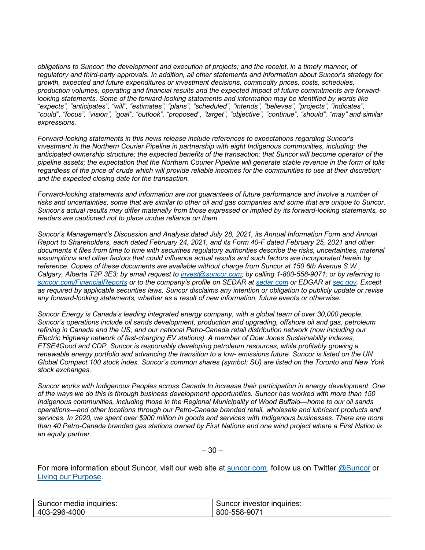*obligations to Suncor; the development and execution of projects; and the receipt, in a timely manner, of regulatory and third-party approvals. In addition, all other statements and information about Suncor's strategy for growth, expected and future expenditures or investment decisions, commodity prices, costs, schedules, production volumes, operating and financial results and the expected impact of future commitments are forwardlooking statements. Some of the forward-looking statements and information may be identified by words like "expects", "anticipates", "will", "estimates", "plans", "scheduled", "intends", "believes", "projects", "indicates", "could", "focus", "vision", "goal", "outlook", "proposed", "target", "objective", "continue", "should", "may" and similar expressions.*

*Forward-looking statements in this news release include references to expectations regarding Suncor's investment in the Northern Courier Pipeline in partnership with eight Indigenous communities, including: the anticipated ownership structure; the expected benefits of the transaction; that Suncor will become operator of the pipeline assets; the expectation that the Northern Courier Pipeline will generate stable revenue in the form of tolls regardless of the price of crude which will provide reliable incomes for the communities to use at their discretion; and the expected closing date for the transaction.*

*Forward-looking statements and information are not guarantees of future performance and involve a number of risks and uncertainties, some that are similar to other oil and gas companies and some that are unique to Suncor. Suncor's actual results may differ materially from those expressed or implied by its forward-looking statements, so readers are cautioned not to place undue reliance on them.*

*Suncor's Management's Discussion and Analysis dated July 28, 2021, its Annual Information Form and Annual Report to Shareholders, each dated February 24, 2021, and its Form 40-F dated February 25, 2021 and other documents it files from time to time with securities regulatory authorities describe the risks, uncertainties, material assumptions and other factors that could influence actual results and such factors are incorporated herein by reference. Copies of these documents are available without charge from Suncor at 150 6th Avenue S.W., Calgary, Alberta T2P 3E3; by email request to [invest@suncor.com;](mailto:invest@suncor.com) by calling 1-800-558-9071; or by referring to [suncor.com/FinancialReports](http://www.suncor.com/en/investor/429.aspx) or to the company's profile on SEDAR at [sedar.com](http://www.sedar.com/) or EDGAR at [sec.gov.](http://www.sec.gov/) Except as required by applicable securities laws, Suncor disclaims any intention or obligation to publicly update or revise any forward-looking statements, whether as a result of new information, future events or otherwise.*

*Suncor Energy is Canada's leading integrated energy company, with a global team of over 30,000 people. Suncor's operations include oil sands development, production and upgrading, offshore oil and gas, petroleum refining in Canada and the US, and our national Petro-Canada retail distribution network (now including our Electric Highway network of fast-charging EV stations). A member of Dow Jones Sustainability indexes, FTSE4Good and CDP, Suncor is responsibly developing petroleum resources, while profitably growing a renewable energy portfolio and advancing the transition to a low- emissions future. Suncor is listed on the UN Global Compact 100 stock index. Suncor's common shares (symbol: SU) are listed on the Toronto and New York stock exchanges.*

*Suncor works with Indigenous Peoples across Canada to increase their participation in energy development. One of the ways we do this is through business development opportunities. Suncor has worked with more than 150 Indigenous communities, including those in the Regional Municipality of Wood Buffalo—home to our oil sands operations—and other locations through our Petro-Canada branded retail, wholesale and lubricant products and services. In 2020, we spent over \$900 million in goods and services with Indigenous businesses. There are more than 40 Petro-Canada branded gas stations owned by First Nations and one wind project where a First Nation is an equity partner.*

– 30 –

For more information about Suncor, visit our web site at [suncor.com,](http://www.suncor.com/) follow us on Twitter [@Suncor](http://twitter.com/suncor) or [Living our Purpose.](https://www.suncor.com/en-ca/about-us/our-purpose-and-values/living-our-purpose)

| Suncor media inquiries: | Suncor investor inquiries: |
|-------------------------|----------------------------|
| 403-296-4000            | 800-558-9071               |